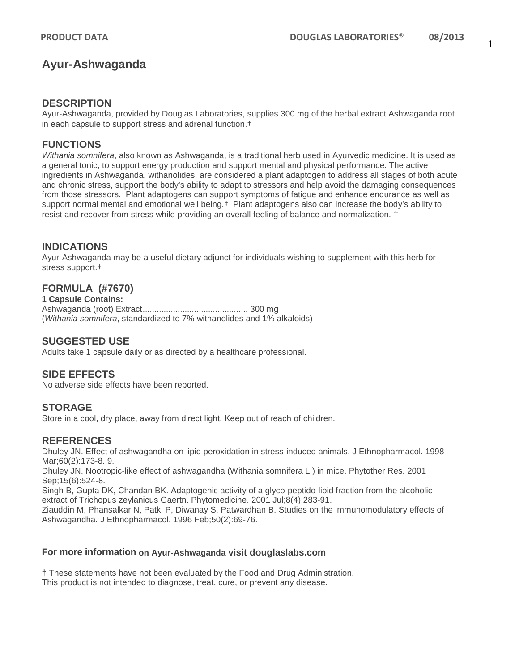# **Ayur-Ashwaganda**

#### **DESCRIPTION**

Ayur-Ashwaganda, provided by Douglas Laboratories, supplies 300 mg of the herbal extract Ashwaganda root in each capsule to support stress and adrenal function.†

#### **FUNCTIONS**

*Withania somnifera*, also known as Ashwaganda, is a traditional herb used in Ayurvedic medicine. It is used as a general tonic, to support energy production and support mental and physical performance. The active ingredients in Ashwaganda, withanolides, are considered a plant adaptogen to address all stages of both acute and chronic stress, support the body's ability to adapt to stressors and help avoid the damaging consequences from those stressors. Plant adaptogens can support symptoms of fatigue and enhance endurance as well as support normal mental and emotional well being.<sup>†</sup> Plant adaptogens also can increase the body's ability to resist and recover from stress while providing an overall feeling of balance and normalization. †

### **INDICATIONS**

Ayur-Ashwaganda may be a useful dietary adjunct for individuals wishing to supplement with this herb for stress support.†

## **FORMULA (#7670)**

**1 Capsule Contains:** Ashwaganda (root) Extract............................................. 300 mg (*Withania somnifera*, standardized to 7% withanolides and 1% alkaloids)

### **SUGGESTED USE**

Adults take 1 capsule daily or as directed by a healthcare professional.

### **SIDE EFFECTS**

No adverse side effects have been reported.

#### **STORAGE**

Store in a cool, dry place, away from direct light. Keep out of reach of children.

### **REFERENCES**

Dhuley JN. Effect of ashwagandha on lipid peroxidation in stress-induced animals. J Ethnopharmacol. 1998 Mar;60(2):173-8. 9.

Dhuley JN. Nootropic-like effect of ashwagandha (Withania somnifera L.) in mice. Phytother Res. 2001 Sep;15(6):524-8.

Singh B, Gupta DK, Chandan BK. Adaptogenic activity of a glyco-peptido-lipid fraction from the alcoholic extract of Trichopus zeylanicus Gaertn. Phytomedicine. 2001 Jul;8(4):283-91.

Ziauddin M, Phansalkar N, Patki P, Diwanay S, Patwardhan B. Studies on the immunomodulatory effects of Ashwagandha. J Ethnopharmacol. 1996 Feb;50(2):69-76.

#### **For more information on Ayur-Ashwaganda visit douglaslabs.com**

† These statements have not been evaluated by the Food and Drug Administration. This product is not intended to diagnose, treat, cure, or prevent any disease.